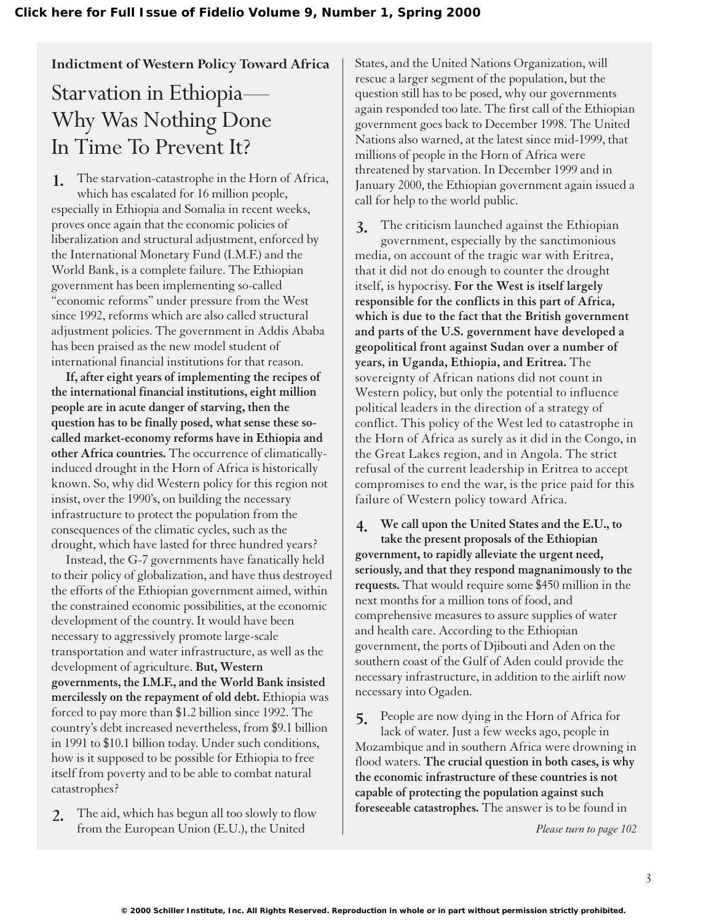### **Indictment of Western Policy Toward Africa**

# Starvation in Ethiopia— Why Was Nothing Done In Time To Prevent It?

The starvation-catastrophe in the Horn of Africa, which has escalated for 16 million people, especially in Ethiopia and Somalia in recent weeks, proves once again that the economic policies of liberalization and structural adjustment, enforced by the International Monetary Fund (I.M.F.) and the World Bank, is a complete failure. The Ethiopian government has been implementing so-called "economic reforms" under pressure from the West since 1992, reforms which are also called structural adjustment policies. The government in Addis Ababa has been praised as the new model student of international financial institutions for that reason. **1.**

**If, after eight years of implementing the recipes of the international financial institutions, eight million people are in acute danger of starving, then the question has to be finally posed, what sense these socalled market-economy reforms have in Ethiopia and other Africa countries.** The occurrence of climaticallyinduced drought in the Horn of Africa is historically known. So, why did Western policy for this region not insist, over the 1990's, on building the necessary infrastructure to protect the population from the consequences of the climatic cycles, such as the drought, which have lasted for three hundred years?

Instead, the G-7 governments have fanatically held to their policy of globalization, and have thus destroyed the efforts of the Ethiopian government aimed, within the constrained economic possibilities, at the economic development of the country. It would have been necessary to aggressively promote large-scale transportation and water infrastructure, as well as the development of agriculture. **But, Western governments, the I.M.F., and the World Bank insisted mercilessly on the repayment of old debt.** Ethiopia was forced to pay more than \$1.2 billion since 1992. The country's debt increased nevertheless, from \$9.1 billion in 1991 to \$10.1 billion today. Under such conditions, how is it supposed to be possible for Ethiopia to free itself from poverty and to be able to combat natural catastrophes?

The aid, which has begun all too slowly to flow from the European Union (E.U.), the United **2.**

States, and the United Nations Organization, will rescue a larger segment of the population, but the question still has to be posed, why our governments again responded too late. The first call of the Ethiopian government goes back to December 1998. The United Nations also warned, at the latest since mid-1999, that millions of people in the Horn of Africa were threatened by starvation. In December 1999 and in January 2000, the Ethiopian government again issued a call for help to the world public.

The criticism launched against the Ethiopian government, especially by the sanctimonious media, on account of the tragic war with Eritrea, that it did not do enough to counter the drought itself, is hypocrisy. **For the West is itself largely responsible for the conflicts in this part of Africa, which is due to the fact that the British government and parts of the U.S. government have developed a geopolitical front against Sudan over a number of years, in Uganda, Ethiopia, and Eritrea.** The sovereignty of African nations did not count in Western policy, but only the potential to influence political leaders in the direction of a strategy of conflict. This policy of the West led to catastrophe in the Horn of Africa as surely as it did in the Congo, in the Great Lakes region, and in Angola. The strict refusal of the current leadership in Eritrea to accept compromises to end the war, is the price paid for this failure of Western policy toward Africa. **3.**

**We call upon the United States and the E.U., to take the present proposals of the Ethiopian government, to rapidly alleviate the urgent need, seriously, and that they respond magnanimously to the requests.** That would require some \$450 million in the next months for a million tons of food, and comprehensive measures to assure supplies of water and health care. According to the Ethiopian government, the ports of Djibouti and Aden on the southern coast of the Gulf of Aden could provide the necessary infrastructure, in addition to the airlift now necessary into Ogaden. **4.**

People are now dying in the Horn of Africa for lack of water. Just a few weeks ago, people in Mozambique and in southern Africa were drowning in flood waters. **The crucial question in both cases, is why the economic infrastructure of these countries is not capable of protecting the population against such foreseeable catastrophes.** The answer is to be found in **5.**

*Please turn to page 102*